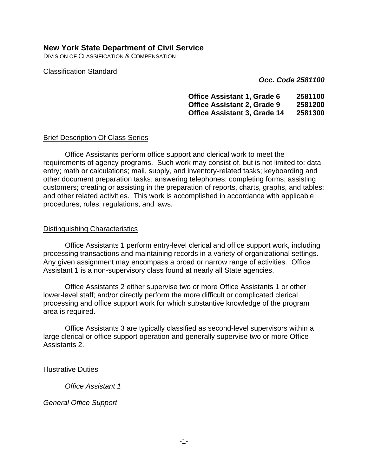## **New York State Department of Civil Service**

DIVISION OF CLASSIFICATION & COMPENSATION

Classification Standard

*Occ. Code 2581100*

**Office Assistant 1, Grade 6 2581100 Office Assistant 2, Grade 9 2581200 Office Assistant 3, Grade 14 2581300**

#### Brief Description Of Class Series

Office Assistants perform office support and clerical work to meet the requirements of agency programs. Such work may consist of, but is not limited to: data entry; math or calculations; mail, supply, and inventory-related tasks; keyboarding and other document preparation tasks; answering telephones; completing forms; assisting customers; creating or assisting in the preparation of reports, charts, graphs, and tables; and other related activities. This work is accomplished in accordance with applicable procedures, rules, regulations, and laws.

#### Distinguishing Characteristics

Office Assistants 1 perform entry-level clerical and office support work, including processing transactions and maintaining records in a variety of organizational settings. Any given assignment may encompass a broad or narrow range of activities. Office Assistant 1 is a non-supervisory class found at nearly all State agencies.

Office Assistants 2 either supervise two or more Office Assistants 1 or other lower-level staff; and/or directly perform the more difficult or complicated clerical processing and office support work for which substantive knowledge of the program area is required.

Office Assistants 3 are typically classified as second-level supervisors within a large clerical or office support operation and generally supervise two or more Office Assistants 2.

#### Illustrative Duties

*Office Assistant 1*

### *General Office Support*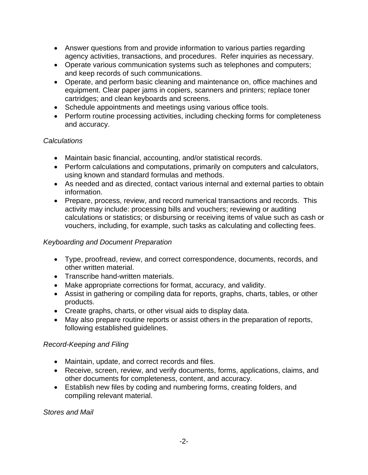- Answer questions from and provide information to various parties regarding agency activities, transactions, and procedures. Refer inquiries as necessary.
- Operate various communication systems such as telephones and computers; and keep records of such communications.
- Operate, and perform basic cleaning and maintenance on, office machines and equipment. Clear paper jams in copiers, scanners and printers; replace toner cartridges; and clean keyboards and screens.
- Schedule appointments and meetings using various office tools.
- Perform routine processing activities, including checking forms for completeness and accuracy.

# *Calculations*

- Maintain basic financial, accounting, and/or statistical records.
- Perform calculations and computations, primarily on computers and calculators, using known and standard formulas and methods.
- As needed and as directed, contact various internal and external parties to obtain information.
- Prepare, process, review, and record numerical transactions and records. This activity may include: processing bills and vouchers; reviewing or auditing calculations or statistics; or disbursing or receiving items of value such as cash or vouchers, including, for example, such tasks as calculating and collecting fees.

# *Keyboarding and Document Preparation*

- Type, proofread, review, and correct correspondence, documents, records, and other written material.
- Transcribe hand-written materials.
- Make appropriate corrections for format, accuracy, and validity.
- Assist in gathering or compiling data for reports, graphs, charts, tables, or other products.
- Create graphs, charts, or other visual aids to display data.
- May also prepare routine reports or assist others in the preparation of reports, following established guidelines.

# *Record-Keeping and Filing*

- Maintain, update, and correct records and files.
- Receive, screen, review, and verify documents, forms, applications, claims, and other documents for completeness, content, and accuracy.
- Establish new files by coding and numbering forms, creating folders, and compiling relevant material.

*Stores and Mail*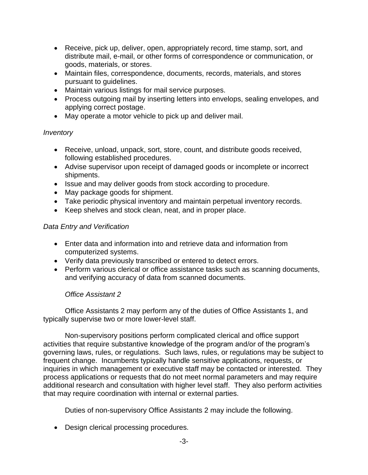- Receive, pick up, deliver, open, appropriately record, time stamp, sort, and distribute mail, e-mail, or other forms of correspondence or communication, or goods, materials, or stores.
- Maintain files, correspondence, documents, records, materials, and stores pursuant to guidelines.
- Maintain various listings for mail service purposes.
- Process outgoing mail by inserting letters into envelops, sealing envelopes, and applying correct postage.
- May operate a motor vehicle to pick up and deliver mail.

# *Inventory*

- Receive, unload, unpack, sort, store, count, and distribute goods received, following established procedures.
- Advise supervisor upon receipt of damaged goods or incomplete or incorrect shipments.
- Issue and may deliver goods from stock according to procedure.
- May package goods for shipment.
- Take periodic physical inventory and maintain perpetual inventory records.
- Keep shelves and stock clean, neat, and in proper place.

## *Data Entry and Verification*

- Enter data and information into and retrieve data and information from computerized systems.
- Verify data previously transcribed or entered to detect errors.
- Perform various clerical or office assistance tasks such as scanning documents, and verifying accuracy of data from scanned documents.

### *Office Assistant 2*

Office Assistants 2 may perform any of the duties of Office Assistants 1, and typically supervise two or more lower-level staff.

Non-supervisory positions perform complicated clerical and office support activities that require substantive knowledge of the program and/or of the program's governing laws, rules, or regulations. Such laws, rules, or regulations may be subject to frequent change. Incumbents typically handle sensitive applications, requests, or inquiries in which management or executive staff may be contacted or interested. They process applications or requests that do not meet normal parameters and may require additional research and consultation with higher level staff. They also perform activities that may require coordination with internal or external parties.

Duties of non-supervisory Office Assistants 2 may include the following.

• Design clerical processing procedures.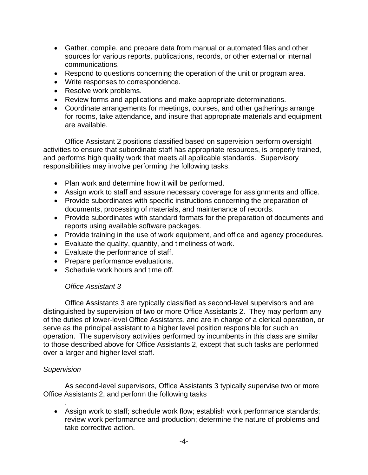- Gather, compile, and prepare data from manual or automated files and other sources for various reports, publications, records, or other external or internal communications.
- Respond to questions concerning the operation of the unit or program area.
- Write responses to correspondence.
- Resolve work problems.
- Review forms and applications and make appropriate determinations.
- Coordinate arrangements for meetings, courses, and other gatherings arrange for rooms, take attendance, and insure that appropriate materials and equipment are available.

Office Assistant 2 positions classified based on supervision perform oversight activities to ensure that subordinate staff has appropriate resources, is properly trained, and performs high quality work that meets all applicable standards. Supervisory responsibilities may involve performing the following tasks.

- Plan work and determine how it will be performed.
- Assign work to staff and assure necessary coverage for assignments and office.
- Provide subordinates with specific instructions concerning the preparation of documents, processing of materials, and maintenance of records.
- Provide subordinates with standard formats for the preparation of documents and reports using available software packages.
- Provide training in the use of work equipment, and office and agency procedures.
- Evaluate the quality, quantity, and timeliness of work.
- Evaluate the performance of staff.
- Prepare performance evaluations.
- Schedule work hours and time off.

### *Office Assistant 3*

Office Assistants 3 are typically classified as second-level supervisors and are distinguished by supervision of two or more Office Assistants 2. They may perform any of the duties of lower-level Office Assistants, and are in charge of a clerical operation, or serve as the principal assistant to a higher level position responsible for such an operation. The supervisory activities performed by incumbents in this class are similar to those described above for Office Assistants 2, except that such tasks are performed over a larger and higher level staff.

### *Supervision*

As second-level supervisors, Office Assistants 3 typically supervise two or more Office Assistants 2, and perform the following tasks

. • Assign work to staff; schedule work flow; establish work performance standards; review work performance and production; determine the nature of problems and take corrective action.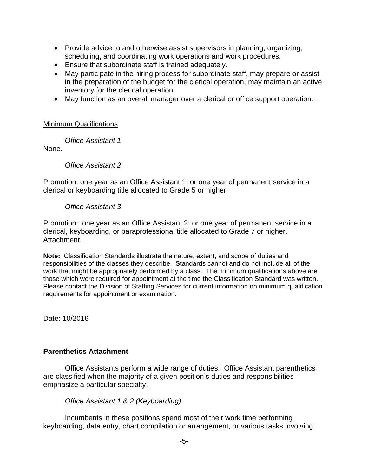- Provide advice to and otherwise assist supervisors in planning, organizing, scheduling, and coordinating work operations and work procedures.
- Ensure that subordinate staff is trained adequately.
- May participate in the hiring process for subordinate staff, may prepare or assist in the preparation of the budget for the clerical operation, may maintain an active inventory for the clerical operation.
- May function as an overall manager over a clerical or office support operation.

#### Minimum Qualifications

*Office Assistant 1* 

None.

#### *Office Assistant 2*

Promotion: one year as an Office Assistant 1; or one year of permanent service in a clerical or keyboarding title allocated to Grade 5 or higher.

#### *Office Assistant 3*

Promotion: one year as an Office Assistant 2; or one year of permanent service in a clerical, keyboarding, or paraprofessional title allocated to Grade 7 or higher. Attachment

**Note:** Classification Standards illustrate the nature, extent, and scope of duties and responsibilities of the classes they describe. Standards cannot and do not include all of the work that might be appropriately performed by a class. The minimum qualifications above are those which were required for appointment at the time the Classification Standard was written. Please contact the Division of Staffing Services for current information on minimum qualification requirements for appointment or examination.

Date: 10/2016

### **Parenthetics Attachment**

Office Assistants perform a wide range of duties. Office Assistant parenthetics are classified when the majority of a given position's duties and responsibilities emphasize a particular specialty.

*Office Assistant 1 & 2 (Keyboarding)*

Incumbents in these positions spend most of their work time performing keyboarding, data entry, chart compilation or arrangement, or various tasks involving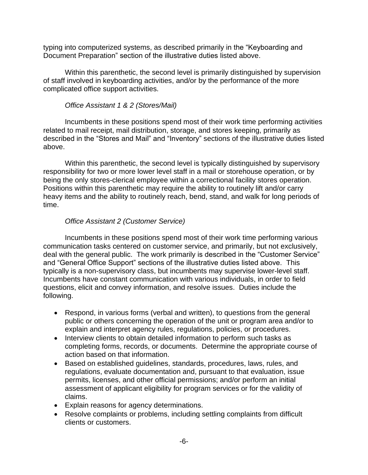typing into computerized systems, as described primarily in the "Keyboarding and Document Preparation" section of the illustrative duties listed above.

Within this parenthetic, the second level is primarily distinguished by supervision of staff involved in keyboarding activities, and/or by the performance of the more complicated office support activities.

## *Office Assistant 1 & 2 (Stores/Mail)*

Incumbents in these positions spend most of their work time performing activities related to mail receipt, mail distribution, storage, and stores keeping, primarily as described in the "Stores and Mail" and "Inventory" sections of the illustrative duties listed above.

Within this parenthetic, the second level is typically distinguished by supervisory responsibility for two or more lower level staff in a mail or storehouse operation, or by being the only stores-clerical employee within a correctional facility stores operation. Positions within this parenthetic may require the ability to routinely lift and/or carry heavy items and the ability to routinely reach, bend, stand, and walk for long periods of time.

## *Office Assistant 2 (Customer Service)*

Incumbents in these positions spend most of their work time performing various communication tasks centered on customer service, and primarily, but not exclusively, deal with the general public. The work primarily is described in the "Customer Service" and "General Office Support" sections of the illustrative duties listed above. This typically is a non-supervisory class, but incumbents may supervise lower-level staff. Incumbents have constant communication with various individuals, in order to field questions, elicit and convey information, and resolve issues. Duties include the following.

- Respond, in various forms (verbal and written), to questions from the general public or others concerning the operation of the unit or program area and/or to explain and interpret agency rules, regulations, policies, or procedures.
- Interview clients to obtain detailed information to perform such tasks as completing forms, records, or documents. Determine the appropriate course of action based on that information.
- Based on established guidelines, standards, procedures, laws, rules, and regulations, evaluate documentation and, pursuant to that evaluation, issue permits, licenses, and other official permissions; and/or perform an initial assessment of applicant eligibility for program services or for the validity of claims.
- Explain reasons for agency determinations.
- Resolve complaints or problems, including settling complaints from difficult clients or customers.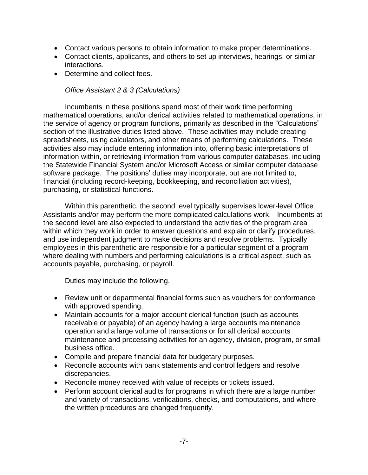- Contact various persons to obtain information to make proper determinations.
- Contact clients, applicants, and others to set up interviews, hearings, or similar interactions.
- Determine and collect fees.

## *Office Assistant 2 & 3 (Calculations)*

Incumbents in these positions spend most of their work time performing mathematical operations, and/or clerical activities related to mathematical operations, in the service of agency or program functions, primarily as described in the "Calculations" section of the illustrative duties listed above. These activities may include creating spreadsheets, using calculators, and other means of performing calculations. These activities also may include entering information into, offering basic interpretations of information within, or retrieving information from various computer databases, including the Statewide Financial System and/or Microsoft Access or similar computer database software package. The positions' duties may incorporate, but are not limited to, financial (including record-keeping, bookkeeping, and reconciliation activities), purchasing, or statistical functions.

Within this parenthetic, the second level typically supervises lower-level Office Assistants and/or may perform the more complicated calculations work. Incumbents at the second level are also expected to understand the activities of the program area within which they work in order to answer questions and explain or clarify procedures, and use independent judgment to make decisions and resolve problems. Typically employees in this parenthetic are responsible for a particular segment of a program where dealing with numbers and performing calculations is a critical aspect, such as accounts payable, purchasing, or payroll.

Duties may include the following.

- Review unit or departmental financial forms such as vouchers for conformance with approved spending.
- Maintain accounts for a major account clerical function (such as accounts receivable or payable) of an agency having a large accounts maintenance operation and a large volume of transactions or for all clerical accounts maintenance and processing activities for an agency, division, program, or small business office.
- Compile and prepare financial data for budgetary purposes.
- Reconcile accounts with bank statements and control ledgers and resolve discrepancies.
- Reconcile money received with value of receipts or tickets issued.
- Perform account clerical audits for programs in which there are a large number and variety of transactions, verifications, checks, and computations, and where the written procedures are changed frequently.